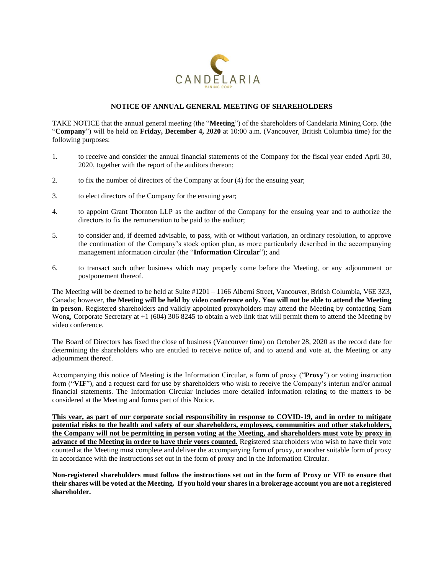

## **NOTICE OF ANNUAL GENERAL MEETING OF SHAREHOLDERS**

TAKE NOTICE that the annual general meeting (the "**Meeting**") of the shareholders of Candelaria Mining Corp. (the "**Company**") will be held on **Friday, December 4, 2020** at 10:00 a.m. (Vancouver, British Columbia time) for the following purposes:

- 1. to receive and consider the annual financial statements of the Company for the fiscal year ended April 30, 2020, together with the report of the auditors thereon;
- 2. to fix the number of directors of the Company at four (4) for the ensuing year;
- 3. to elect directors of the Company for the ensuing year;
- 4. to appoint Grant Thornton LLP as the auditor of the Company for the ensuing year and to authorize the directors to fix the remuneration to be paid to the auditor;
- 5. to consider and, if deemed advisable, to pass, with or without variation, an ordinary resolution, to approve the continuation of the Company's stock option plan, as more particularly described in the accompanying management information circular (the "**Information Circular**"); and
- 6. to transact such other business which may properly come before the Meeting, or any adjournment or postponement thereof.

The Meeting will be deemed to be held at Suite #1201 – 1166 Alberni Street, Vancouver, British Columbia, V6E 3Z3, Canada; however, **the Meeting will be held by video conference only. You will not be able to attend the Meeting in person**. Registered shareholders and validly appointed proxyholders may attend the Meeting by contacting Sam Wong, Corporate Secretary at +1 (604) 306 8245 to obtain a web link that will permit them to attend the Meeting by video conference.

The Board of Directors has fixed the close of business (Vancouver time) on October 28, 2020 as the record date for determining the shareholders who are entitled to receive notice of, and to attend and vote at, the Meeting or any adjournment thereof.

Accompanying this notice of Meeting is the Information Circular, a form of proxy ("**Proxy**") or voting instruction form ("**VIF**"), and a request card for use by shareholders who wish to receive the Company's interim and/or annual financial statements. The Information Circular includes more detailed information relating to the matters to be considered at the Meeting and forms part of this Notice.

**This year, as part of our corporate social responsibility in response to COVID-19, and in order to mitigate potential risks to the health and safety of our shareholders, employees, communities and other stakeholders, the Company will not be permitting in person voting at the Meeting, and shareholders must vote by proxy in advance of the Meeting in order to have their votes counted.** Registered shareholders who wish to have their vote counted at the Meeting must complete and deliver the accompanying form of proxy, or another suitable form of proxy in accordance with the instructions set out in the form of proxy and in the Information Circular.

**Non-registered shareholders must follow the instructions set out in the form of Proxy or VIF to ensure that their shares will be voted at the Meeting. If you hold your shares in a brokerage account you are not a registered shareholder.**